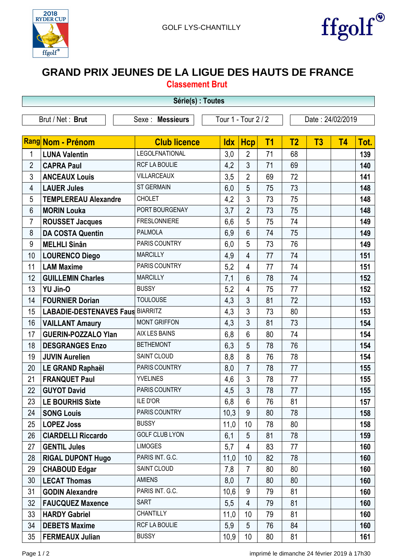



## **GRAND PRIX JEUNES DE LA LIGUE DES HAUTS DE FRANCE**

|  |  |  |  | <b>Classement Brut</b> |
|--|--|--|--|------------------------|
|--|--|--|--|------------------------|

| Série(s) : Toutes |                                         |                       |                     |                |           |                  |    |           |      |
|-------------------|-----------------------------------------|-----------------------|---------------------|----------------|-----------|------------------|----|-----------|------|
|                   | Brut / Net: Brut                        | Sexe : Messieurs      | Tour 1 - Tour 2 / 2 |                |           | Date: 24/02/2019 |    |           |      |
|                   | Rang Nom - Prénom                       | <b>Club licence</b>   | <b>Idx</b>          | <b>Hcp</b>     | <b>T1</b> | T <sub>2</sub>   | T3 | <b>T4</b> | Tot. |
| 1                 | <b>LUNA Valentin</b>                    | LEGOLFNATIONAL        | 3,0                 | $\overline{2}$ | 71        | 68               |    |           | 139  |
| $\overline{2}$    | <b>CAPRA Paul</b>                       | RCF LA BOULIE         | 4,2                 | 3              | 71        | 69               |    |           | 140  |
| 3                 | <b>ANCEAUX Louis</b>                    | <b>VILLARCEAUX</b>    | 3,5                 | $\overline{2}$ | 69        | 72               |    |           | 141  |
| 4                 | <b>LAUER Jules</b>                      | <b>ST GERMAIN</b>     | 6,0                 | 5              | 75        | 73               |    |           | 148  |
| 5                 | <b>TEMPLEREAU Alexandre</b>             | <b>CHOLET</b>         | 4,2                 | 3              | 73        | 75               |    |           | 148  |
| 6                 | <b>MORIN Louka</b>                      | PORT BOURGENAY        | 3,7                 | $\overline{2}$ | 73        | 75               |    |           | 148  |
| 7                 | <b>ROUSSET Jacques</b>                  | <b>FRESLONNIERE</b>   | 6,6                 | 5              | 75        | 74               |    |           | 149  |
| 8                 | <b>DA COSTA Quentin</b>                 | <b>PALMOLA</b>        | 6,9                 | 6              | 74        | 75               |    |           | 149  |
| 9                 | <b>MELHLI Sinân</b>                     | PARIS COUNTRY         | 6,0                 | 5              | 73        | 76               |    |           | 149  |
| 10                | <b>LOURENCO Diego</b>                   | <b>MARCILLY</b>       | 4,9                 | $\overline{4}$ | 77        | 74               |    |           | 151  |
| 11                | <b>LAM Maxime</b>                       | PARIS COUNTRY         | 5,2                 | 4              | 77        | 74               |    |           | 151  |
| 12                | <b>GUILLEMIN Charles</b>                | <b>MARCILLY</b>       | 7,1                 | 6              | 78        | 74               |    |           | 152  |
| 13                | YU Jin-O                                | <b>BUSSY</b>          | 5,2                 | 4              | 75        | 77               |    |           | 152  |
| 14                | <b>FOURNIER Dorian</b>                  | <b>TOULOUSE</b>       | 4,3                 | 3              | 81        | 72               |    |           | 153  |
| 15                | <b>LABADIE-DESTENAVES Faus BIARRITZ</b> |                       | 4,3                 | $\mathbf{3}$   | 73        | 80               |    |           | 153  |
| 16                | <b>VAILLANT Amaury</b>                  | <b>MONT GRIFFON</b>   | 4,3                 | 3              | 81        | 73               |    |           | 154  |
| 17                | <b>GUERIN-POZZALO Ylan</b>              | AIX LES BAINS         | 6,8                 | 6              | 80        | 74               |    |           | 154  |
| 18                | <b>DESGRANGES Enzo</b>                  | <b>BETHEMONT</b>      | 6,3                 | 5              | 78        | 76               |    |           | 154  |
| 19                | <b>JUVIN Aurelien</b>                   | SAINT CLOUD           | 8,8                 | 8              | 76        | 78               |    |           | 154  |
| 20                | LE GRAND Raphaël                        | PARIS COUNTRY         | 8,0                 | $\overline{7}$ | 78        | 77               |    |           | 155  |
| 21                | <b>FRANQUET Paul</b>                    | <b>YVELINES</b>       | 4,6                 | $\mathfrak{Z}$ | 78        | 77               |    |           | 155  |
| 22                | <b>GUYOT David</b>                      | PARIS COUNTRY         | 4,5                 | 3              | 78        | 77               |    |           | 155  |
| 23                | <b>LE BOURHIS Sixte</b>                 | <b>ILE D'OR</b>       | 6,8                 | 6              | 76        | 81               |    |           | 157  |
| 24                | <b>SONG Louis</b>                       | PARIS COUNTRY         | 10,3                | 9              | 80        | 78               |    |           | 158  |
| 25                | <b>LOPEZ Joss</b>                       | <b>BUSSY</b>          | 11,0                | 10             | 78        | 80               |    |           | 158  |
| 26                | <b>CIARDELLI Riccardo</b>               | <b>GOLF CLUB LYON</b> | 6,1                 | 5              | 81        | 78               |    |           | 159  |
| 27                | <b>GENTIL Jules</b>                     | <b>LIMOGES</b>        | 5,7                 | 4              | 83        | 77               |    |           | 160  |
| 28                | <b>RIGAL DUPONT Hugo</b>                | PARIS INT. G.C.       | 11,0                | 10             | 82        | 78               |    |           | 160  |
| 29                | <b>CHABOUD Edgar</b>                    | SAINT CLOUD           | 7,8                 | $\overline{7}$ | 80        | 80               |    |           | 160  |
| 30                | <b>LECAT Thomas</b>                     | <b>AMIENS</b>         | 8,0                 | $\overline{7}$ | 80        | 80               |    |           | 160  |
| 31                | <b>GODIN Alexandre</b>                  | PARIS INT. G.C.       | 10,6                | 9              | 79        | 81               |    |           | 160  |
| 32                | <b>FAUCQUEZ Maxence</b>                 | <b>SART</b>           | 5,5                 | $\overline{4}$ | 79        | 81               |    |           | 160  |
| 33                | <b>HARDY Gabriel</b>                    | CHANTILLY             | 11,0                | 10             | 79        | 81               |    |           | 160  |
| 34                | <b>DEBETS Maxime</b>                    | RCF LA BOULIE         | 5,9                 | 5              | 76        | 84               |    |           | 160  |
| 35                | <b>FERMEAUX Julian</b>                  | <b>BUSSY</b>          | 10,9                | 10             | 80        | 81               |    |           | 161  |